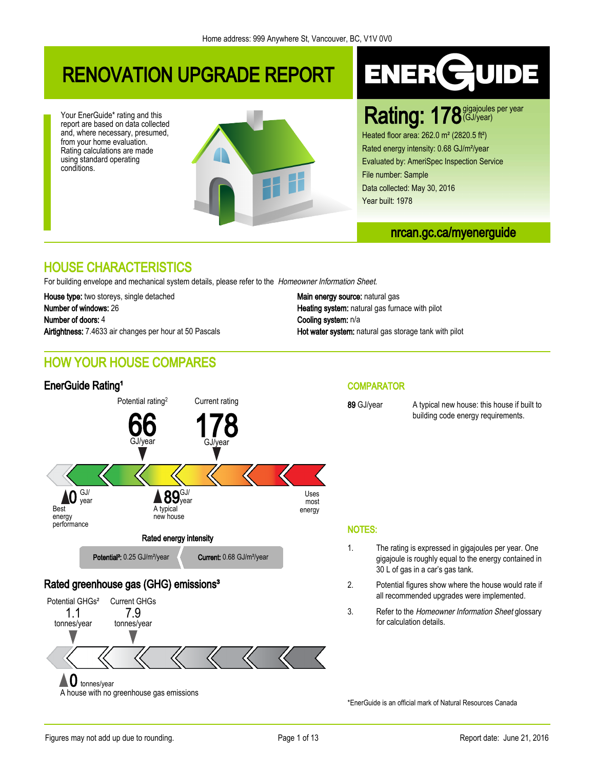# RENOVATION UPGRADE REPORT

Your EnerGuide\* rating and this report are based on data collected and, where necessary, presumed, from your home evaluation. Rating calculations are made using standard operating conditions.



# ENER GUIDE

# Rating: 178 (GJ/year)

Heated floor area: 262.0 m² (2820.5 ft²) Rated energy intensity: 0.68 GJ/m²/year Evaluated by: AmeriSpec Inspection Service File number: Sample Data collected: May 30, 2016 Year built: 1978

## nrcan.gc.ca/myenerguide

## HOUSE CHARACTERISTICS

For building envelope and mechanical system details, please refer to the Homeowner Information Sheet.

House type: two storeys, single detached Main energy source: natural gas Number of windows: 26 **Heating system:** natural gas furnace with pilot Number of doors: 4 Cooling system: n/a

# Airtightness: 7.4633 air changes per hour at 50 Pascals Hot water system: natural gas storage tank with pilot

## HOW YOUR HOUSE COMPARES

## EnerGuide Rating<sup>1</sup> and the comparator comparator comparator comparator comparator comparator comparator comparator comparator comparator comparator comparator comparator comparator comparator comparator comparator compara





## Rated greenhouse gas (GHG) emissions<sup>3</sup>



A house with no greenhouse gas emissions

### NOTES:

- 1. The rating is expressed in gigajoules per year. One gigajoule is roughly equal to the energy contained in 30 L of gas in a car's gas tank.
- 2. Potential figures show where the house would rate if all recommended upgrades were implemented.
- 3. Refer to the Homeowner Information Sheet glossary for calculation details.

\*EnerGuide is an official mark of Natural Resources Canada

89 GJ/year A typical new house: this house if built to building code energy requirements.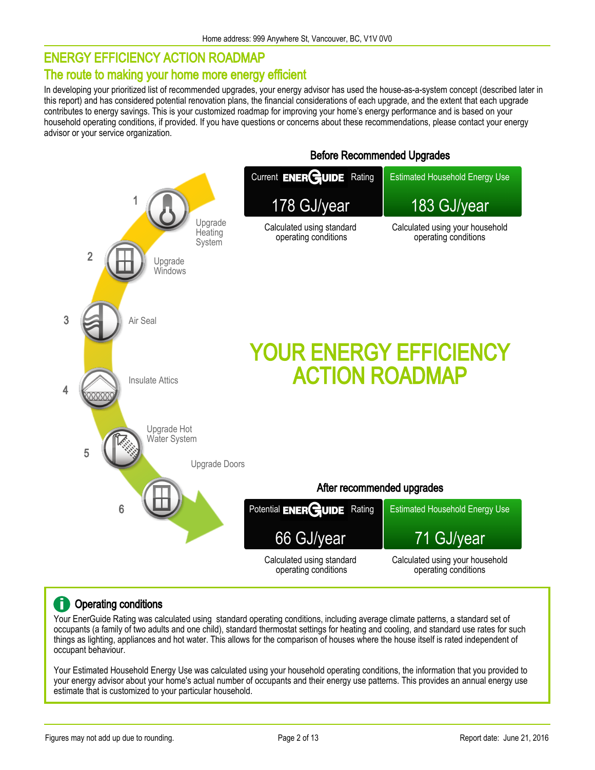# ENERGY EFFICIENCY ACTION ROADMAP

## The route to making your home more energy efficient

In developing your prioritized list of recommended upgrades, your energy advisor has used the house-as-a-system concept (described later in this report) and has considered potential renovation plans, the financial considerations of each upgrade, and the extent that each upgrade contributes to energy savings. This is your customized roadmap for improving your home's energy performance and is based on your household operating conditions, if provided. If you have questions or concerns about these recommendations, please contact your energy advisor or your service organization.



#### Operating conditions Ĩ.

Your EnerGuide Rating was calculated using standard operating conditions, including average climate patterns, a standard set of occupants (a family of two adults and one child), standard thermostat settings for heating and cooling, and standard use rates for such things as lighting, appliances and hot water. This allows for the comparison of houses where the house itself is rated independent of occupant behaviour.

Your Estimated Household Energy Use was calculated using your household operating conditions, the information that you provided to your energy advisor about your home's actual number of occupants and their energy use patterns. This provides an annual energy use estimate that is customized to your particular household.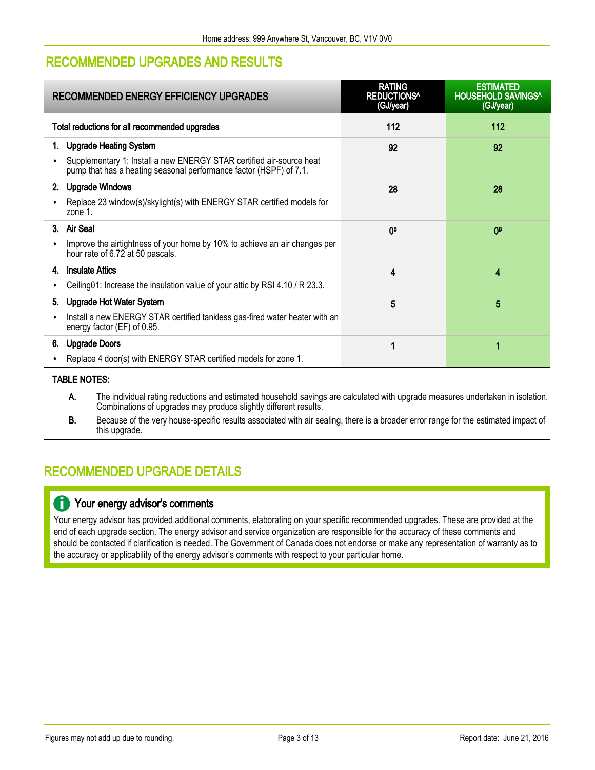## RECOMMENDED UPGRADES AND RESULTS

| <b>RECOMMENDED ENERGY EFFICIENCY UPGRADES</b>                                                                                              | <b>RATING</b><br><b>REDUCTIONS<sup>A</sup></b><br>(GJ/year) | <b>ESTIMATED</b><br><b>HOUSEHOLD SAVINGSA</b><br>(GJ/year) |
|--------------------------------------------------------------------------------------------------------------------------------------------|-------------------------------------------------------------|------------------------------------------------------------|
| Total reductions for all recommended upgrades                                                                                              | 112                                                         | 112                                                        |
| 1. Upgrade Heating System                                                                                                                  | 92                                                          | 92                                                         |
| Supplementary 1: Install a new ENERGY STAR certified air-source heat<br>pump that has a heating seasonal performance factor (HSPF) of 7.1. |                                                             |                                                            |
| <b>Upgrade Windows</b><br>2.                                                                                                               | 28                                                          | 28                                                         |
| Replace 23 window(s)/skylight(s) with ENERGY STAR certified models for<br>zone $1$ .                                                       |                                                             |                                                            |
| 3. Air Seal                                                                                                                                | ΩB                                                          | <b>OB</b>                                                  |
| Improve the airtightness of your home by 10% to achieve an air changes per<br>hour rate of 6.72 at 50 pascals.                             |                                                             |                                                            |
| <b>Insulate Attics</b><br>4.                                                                                                               | 4                                                           | 4                                                          |
| Ceiling 01: Increase the insulation value of your attic by RSI 4.10 / R 23.3.                                                              |                                                             |                                                            |
| <b>Upgrade Hot Water System</b><br>5.                                                                                                      | 5                                                           | 5                                                          |
| Install a new ENERGY STAR certified tankless gas-fired water heater with an<br>energy factor (EF) of 0.95.                                 |                                                             |                                                            |
| 6. Upgrade Doors                                                                                                                           | 1                                                           |                                                            |
| Replace 4 door(s) with ENERGY STAR certified models for zone 1.                                                                            |                                                             |                                                            |

#### TABLE NOTES:

- A. The individual rating reductions and estimated household savings are calculated with upgrade measures undertaken in isolation. Combinations of upgrades may produce slightly different results.
- B. Because of the very house-specific results associated with air sealing, there is a broader error range for the estimated impact of this upgrade.

## RECOMMENDED UPGRADE DETAILS

## **T** Your energy advisor's comments

Your energy advisor has provided additional comments, elaborating on your specific recommended upgrades. These are provided at the end of each upgrade section. The energy advisor and service organization are responsible for the accuracy of these comments and should be contacted if clarification is needed. The Government of Canada does not endorse or make any representation of warranty as to the accuracy or applicability of the energy advisor's comments with respect to your particular home.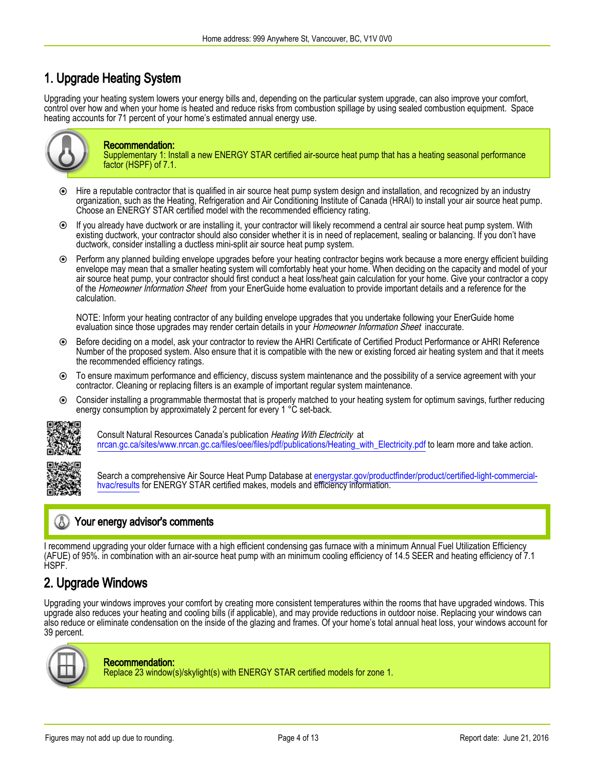## 1. Upgrade Heating System

Upgrading your heating system lowers your energy bills and, depending on the particular system upgrade, can also improve your comfort, control over how and when your home is heated and reduce risks from combustion spillage by using sealed combustion equipment. Space heating accounts for 71 percent of your home's estimated annual energy use.



#### Recommendation:

Supplementary 1: Install a new ENERGY STAR certified air-source heat pump that has a heating seasonal performance factor (HSPF) of 7.1.

- $\odot$ Hire a reputable contractor that is qualified in air source heat pump system design and installation, and recognized by an industry organization, such as the Heating, Refrigeration and Air Conditioning Institute of Canada (HRAI) to install your air source heat pump. Choose an ENERGY STAR certified model with the recommended efficiency rating.
- If you already have ductwork or are installing it, your contractor will likely recommend a central air source heat pump system. With existing ductwork, your contractor should also consider whether it is in need of replacement, sealing or balancing. If you don't have ductwork, consider installing a ductless mini-split air source heat pump system.
- Perform any planned building envelope upgrades before your heating contractor begins work because a more energy efficient building envelope may mean that a smaller heating system will comfortably heat your home. When deciding on the capacity and model of your air source heat pump, your contractor should first conduct a heat loss/heat gain calculation for your home. Give your contractor a copy of the Homeowner Information Sheet from your EnerGuide home evaluation to provide important details and a reference for the calculation.

NOTE: Inform your heating contractor of any building envelope upgrades that you undertake following your EnerGuide home evaluation since those upgrades may render certain details in your Homeowner Information Sheet inaccurate.

- $\odot$ Before deciding on a model, ask your contractor to review the AHRI Certificate of Certified Product Performance or AHRI Reference Number of the proposed system. Also ensure that it is compatible with the new or existing forced air heating system and that it meets the recommended efficiency ratings.
- To ensure maximum performance and efficiency, discuss system maintenance and the possibility of a service agreement with your contractor. Cleaning or replacing filters is an example of important regular system maintenance.
- Consider installing a programmable thermostat that is properly matched to your heating system for optimum savings, further reducing  $\odot$ energy consumption by approximately 2 percent for every 1 °C set-back.



Consult Natural Resources Canada's publication Heating With Electricity at [nrcan.gc.ca/sites/www.nrcan.gc.ca/files/oee/files/pdf/publications/Heating\\_with\\_Electricity.pdf](http://nrcan.gc.ca/sites/www.nrcan.gc.ca/files/oee/files/pdf/publications/Heating_with_Electricity.pdf) to learn more and take action.



Search a comprehensive Air Source Heat Pump Database at [energystar.gov/productfinder/product/certified-light-commercial](http://energystar.gov/productfinder/product/certified-light-commercial-hvac/results)[hvac/results](http://energystar.gov/productfinder/product/certified-light-commercial-hvac/results) for ENERGY STAR certified makes, models and efficiency information.

## Your energy advisor's comments

I recommend upgrading your older furnace with a high efficient condensing gas furnace with a minimum Annual Fuel Utilization Efficiency (AFUE) of 95%. in combination with an air-source heat pump with an minimum cooling efficiency of 14.5 SEER and heating efficiency of 7.1 HSPF.

## 2. Upgrade Windows

Upgrading your windows improves your comfort by creating more consistent temperatures within the rooms that have upgraded windows. This upgrade also reduces your heating and cooling bills (if applicable), and may provide reductions in outdoor noise. Replacing your windows can also reduce or eliminate condensation on the inside of the glazing and frames. Of your home's total annual heat loss, your windows account for 39 percent.



#### Recommendation:

Replace 23 window(s)/skylight(s) with ENERGY STAR certified models for zone 1.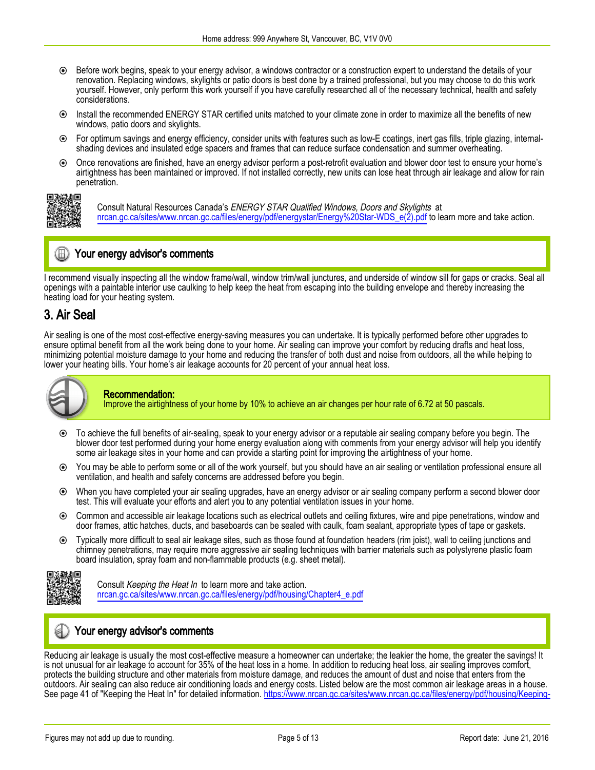- Before work begins, speak to your energy advisor, a windows contractor or a construction expert to understand the details of your  $\odot$ renovation. Replacing windows, skylights or patio doors is best done by a trained professional, but you may choose to do this work yourself. However, only perform this work yourself if you have carefully researched all of the necessary technical, health and safety considerations.
- Install the recommended ENERGY STAR certified units matched to your climate zone in order to maximize all the benefits of new windows, patio doors and skylights.
- $\odot$ For optimum savings and energy efficiency, consider units with features such as low-E coatings, inert gas fills, triple glazing, internalshading devices and insulated edge spacers and frames that can reduce surface condensation and summer overheating.
- Once renovations are finished, have an energy advisor perform a post-retrofit evaluation and blower door test to ensure your home's  $\odot$ airtightness has been maintained or improved. If not installed correctly, new units can lose heat through air leakage and allow for rain penetration.



Consult Natural Resources Canada's ENERGY STAR Qualified Windows, Doors and Skylights at [nrcan.gc.ca/sites/www.nrcan.gc.ca/files/energy/pdf/energystar/Energy%20Star-WDS\\_e\(2\).pdf](http://nrcan.gc.ca/sites/www.nrcan.gc.ca/files/energy/pdf/energystar/Energy%20Star-WDS_e(2).pdf) to learn more and take action.



I recommend visually inspecting all the window frame/wall, window trim/wall junctures, and underside of window sill for gaps or cracks. Seal all openings with a paintable interior use caulking to help keep the heat from escaping into the building envelope and thereby increasing the heating load for your heating system.

## 3. Air Seal

Air sealing is one of the most cost-effective energy-saving measures you can undertake. It is typically performed before other upgrades to ensure optimal benefit from all the work being done to your home. Air sealing can improve your comfort by reducing drafts and heat loss, minimizing potential moisture damage to your home and reducing the transfer of both dust and noise from outdoors, all the while helping to lower your heating bills. Your home's air leakage accounts for 20 percent of your annual heat loss.



#### Recommendation:

Improve the airtightness of your home by 10% to achieve an air changes per hour rate of 6.72 at 50 pascals.

- ◉ To achieve the full benefits of air-sealing, speak to your energy advisor or a reputable air sealing company before you begin. The blower door test performed during your home energy evaluation along with comments from your energy advisor will help you identify some air leakage sites in your home and can provide a starting point for improving the airtightness of your home.
- You may be able to perform some or all of the work yourself, but you should have an air sealing or ventilation professional ensure all ventilation, and health and safety concerns are addressed before you begin.
- $\bullet$ When you have completed your air sealing upgrades, have an energy advisor or air sealing company perform a second blower door test. This will evaluate your efforts and alert you to any potential ventilation issues in your home.
- $\odot$ Common and accessible air leakage locations such as electrical outlets and ceiling fixtures, wire and pipe penetrations, window and door frames, attic hatches, ducts, and baseboards can be sealed with caulk, foam sealant, appropriate types of tape or gaskets.
- Typically more difficult to seal air leakage sites, such as those found at foundation headers (rim joist), wall to ceiling junctions and  $\odot$ chimney penetrations, may require more aggressive air sealing techniques with barrier materials such as polystyrene plastic foam board insulation, spray foam and non-flammable products (e.g. sheet metal).



Consult Keeping the Heat In to learn more and take action. [nrcan.gc.ca/sites/www.nrcan.gc.ca/files/energy/pdf/housing/Chapter4\\_e.pdf](http://nrcan.gc.ca/sites/www.nrcan.gc.ca/files/energy/pdf/housing/Chapter4_e.pdf)

## Your energy advisor's comments

Reducing air leakage is usually the most cost-effective measure a homeowner can undertake; the leakier the home, the greater the savings! It is not unusual for air leakage to account for 35% of the heat loss in a home. In addition to reducing heat loss, air sealing improves comfort, protects the building structure and other materials from moisture damage, and reduces the amount of dust and noise that enters from the outdoors. Air sealing can also reduce air conditioning loads and energy costs. Listed below are the most common air leakage areas in a house. See page 41 of "Keeping the Heat In" for detailed information. https://www.nrcan.gc.ca/sites/www.nrcan.gc.ca/files/energy/pdf/housing/Keeping-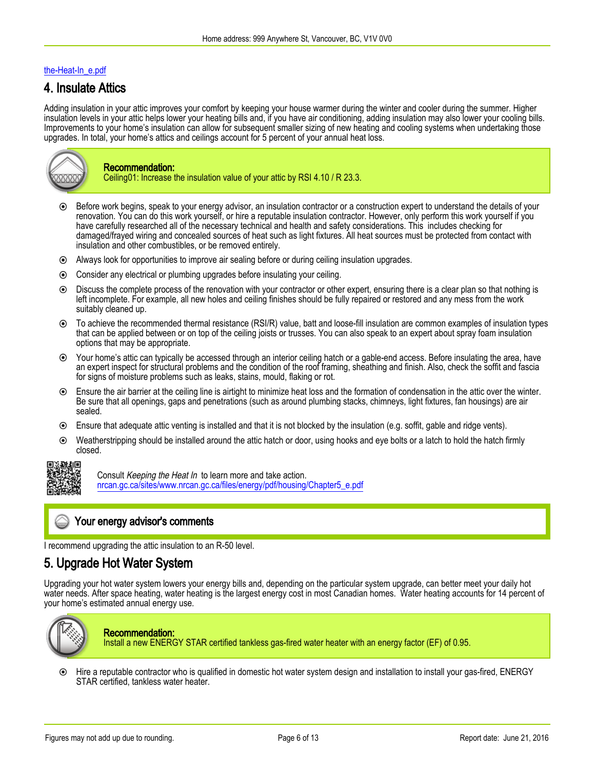#### the-Heat-In\_e.pdf

## 4. Insulate Attics

Adding insulation in your attic improves your comfort by keeping your house warmer during the winter and cooler during the summer. Higher insulation levels in your attic helps lower your heating bills and, if you have air conditioning, adding insulation may also lower your cooling bills. Improvements to your home's insulation can allow for subsequent smaller sizing of new heating and cooling systems when undertaking those upgrades. In total, your home's attics and ceilings account for 5 percent of your annual heat loss.



#### Recommendation:

Ceiling01: Increase the insulation value of your attic by RSI 4.10 / R 23.3.

- $\odot$ Before work begins, speak to your energy advisor, an insulation contractor or a construction expert to understand the details of your renovation. You can do this work yourself, or hire a reputable insulation contractor. However, only perform this work yourself if you have carefully researched all of the necessary technical and health and safety considerations. This includes checking for damaged/frayed wiring and concealed sources of heat such as light fixtures. All heat sources must be protected from contact with insulation and other combustibles, or be removed entirely.
- Always look for opportunities to improve air sealing before or during ceiling insulation upgrades.
- Consider any electrical or plumbing upgrades before insulating your ceiling.
- Discuss the complete process of the renovation with your contractor or other expert, ensuring there is a clear plan so that nothing is left incomplete. For example, all new holes and ceiling finishes should be fully repaired or restored and any mess from the work suitably cleaned up.
- To achieve the recommended thermal resistance (RSI/R) value, batt and loose-fill insulation are common examples of insulation types that can be applied between or on top of the ceiling joists or trusses. You can also speak to an expert about spray foam insulation options that may be appropriate.
- Your home's attic can typically be accessed through an interior ceiling hatch or a gable-end access. Before insulating the area, have an expert inspect for structural problems and the condition of the roof framing, sheathing and finish. Also, check the soffit and fascia for signs of moisture problems such as leaks, stains, mould, flaking or rot.
- $\odot$ Ensure the air barrier at the ceiling line is airtight to minimize heat loss and the formation of condensation in the attic over the winter. Be sure that all openings, gaps and penetrations (such as around plumbing stacks, chimneys, light fixtures, fan housings) are air sealed.
- Ensure that adequate attic venting is installed and that it is not blocked by the insulation (e.g. soffit, gable and ridge vents).
- Weatherstripping should be installed around the attic hatch or door, using hooks and eye bolts or a latch to hold the hatch firmly closed.



Consult Keeping the Heat In to learn more and take action. [nrcan.gc.ca/sites/www.nrcan.gc.ca/files/energy/pdf/housing/Chapter5\\_e.pdf](http://nrcan.gc.ca/sites/www.nrcan.gc.ca/files/energy/pdf/housing/Chapter5_e.pdf)

## Your energy advisor's comments

I recommend upgrading the attic insulation to an R-50 level.

## 5. Upgrade Hot Water System

Upgrading your hot water system lowers your energy bills and, depending on the particular system upgrade, can better meet your daily hot water needs. After space heating, water heating is the largest energy cost in most Canadian homes. Water heating accounts for 14 percent of your home's estimated annual energy use.



#### Recommendation:

Install a new ENERGY STAR certified tankless gas-fired water heater with an energy factor (EF) of 0.95.

 $\odot$ Hire a reputable contractor who is qualified in domestic hot water system design and installation to install your gas-fired, ENERGY STAR certified, tankless water heater.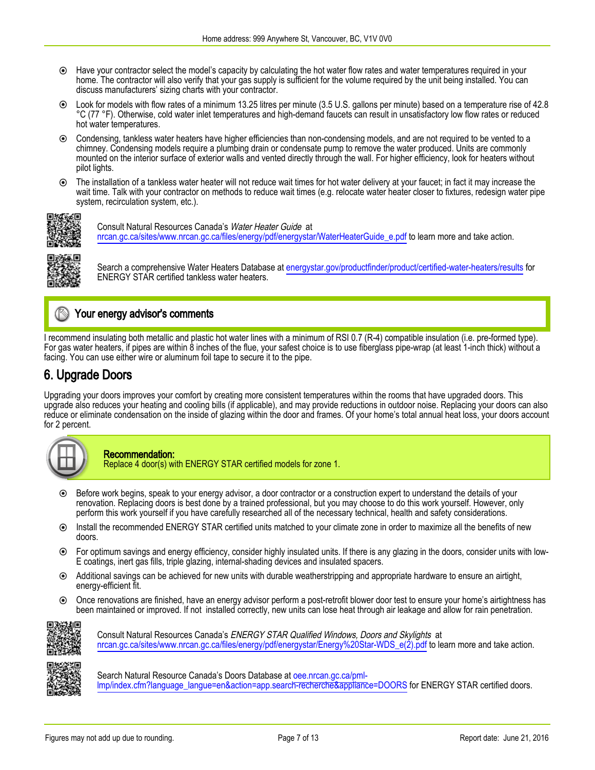- Have your contractor select the model's capacity by calculating the hot water flow rates and water temperatures required in your  $\odot$ home. The contractor will also verify that your gas supply is sufficient for the volume required by the unit being installed. You can discuss manufacturers' sizing charts with your contractor.
- Look for models with flow rates of a minimum 13.25 litres per minute (3.5 U.S. gallons per minute) based on a temperature rise of 42.8 °C (77 °F). Otherwise, cold water inlet temperatures and high-demand faucets can result in unsatisfactory low flow rates or reduced hot water temperatures.
- $\odot$ Condensing, tankless water heaters have higher efficiencies than non-condensing models, and are not required to be vented to a chimney. Condensing models require a plumbing drain or condensate pump to remove the water produced. Units are commonly mounted on the interior surface of exterior walls and vented directly through the wall. For higher efficiency, look for heaters without pilot lights.
- The installation of a tankless water heater will not reduce wait times for hot water delivery at your faucet; in fact it may increase the wait time. Talk with your contractor on methods to reduce wait times (e.g. relocate water heater closer to fixtures, redesign water pipe system, recirculation system, etc.).



Consult Natural Resources Canada's Water Heater Guide at [nrcan.gc.ca/sites/www.nrcan.gc.ca/files/energy/pdf/energystar/WaterHeaterGuide\\_e.pdf](http://nrcan.gc.ca/sites/www.nrcan.gc.ca/files/energy/pdf/energystar/WaterHeaterGuide_e.pdf) to learn more and take action.



Search a comprehensive Water Heaters Database at [energystar.gov/productfinder/product/certified-water-heaters/results](http://energystar.gov/productfinder/product/certified-water-heaters/results) for ENERGY STAR certified tankless water heaters.

## Your energy advisor's comments

I recommend insulating both metallic and plastic hot water lines with a minimum of RSI 0.7 (R-4) compatible insulation (i.e. pre-formed type). For gas water heaters, if pipes are within 8 inches of the flue, your safest choice is to use fiberglass pipe-wrap (at least 1-inch thick) without a facing. You can use either wire or aluminum foil tape to secure it to the pipe.

## 6. Upgrade Doors

Upgrading your doors improves your comfort by creating more consistent temperatures within the rooms that have upgraded doors. This upgrade also reduces your heating and cooling bills (if applicable), and may provide reductions in outdoor noise. Replacing your doors can also reduce or eliminate condensation on the inside of glazing within the door and frames. Of your home's total annual heat loss, your doors account for 2 percent.



#### Recommendation:

Replace 4 door(s) with ENERGY STAR certified models for zone 1.

- $\odot$ Before work begins, speak to your energy advisor, a door contractor or a construction expert to understand the details of your renovation. Replacing doors is best done by a trained professional, but you may choose to do this work yourself. However, only perform this work yourself if you have carefully researched all of the necessary technical, health and safety considerations.
- Install the recommended ENERGY STAR certified units matched to your climate zone in order to maximize all the benefits of new doors.
- For optimum savings and energy efficiency, consider highly insulated units. If there is any glazing in the doors, consider units with low-◉ E coatings, inert gas fills, triple glazing, internal-shading devices and insulated spacers.
- Additional savings can be achieved for new units with durable weatherstripping and appropriate hardware to ensure an airtight, energy-efficient fit.
- Once renovations are finished, have an energy advisor perform a post-retrofit blower door test to ensure your home's airtightness has  $\odot$ been maintained or improved. If not installed correctly, new units can lose heat through air leakage and allow for rain penetration.



Consult Natural Resources Canada's ENERGY STAR Qualified Windows, Doors and Skylights at [nrcan.gc.ca/sites/www.nrcan.gc.ca/files/energy/pdf/energystar/Energy%20Star-WDS\\_e\(2\).pdf](http://nrcan.gc.ca/sites/www.nrcan.gc.ca/files/energy/pdf/energystar/Energy%20Star-WDS_e(2).pdf) to learn more and take action.



Search Natural Resource Canada's Doors Database at [oee.nrcan.gc.ca/pml](http://oee.nrcan.gc.ca/pml-lmp/index.cfm?language_langue=en&action=app.search-recherche&appliance=DOORS)[lmp/index.cfm?language\\_langue=en&action=app.search-recherche&appliance=DOORS](http://oee.nrcan.gc.ca/pml-lmp/index.cfm?language_langue=en&action=app.search-recherche&appliance=DOORS) for ENERGY STAR certified doors.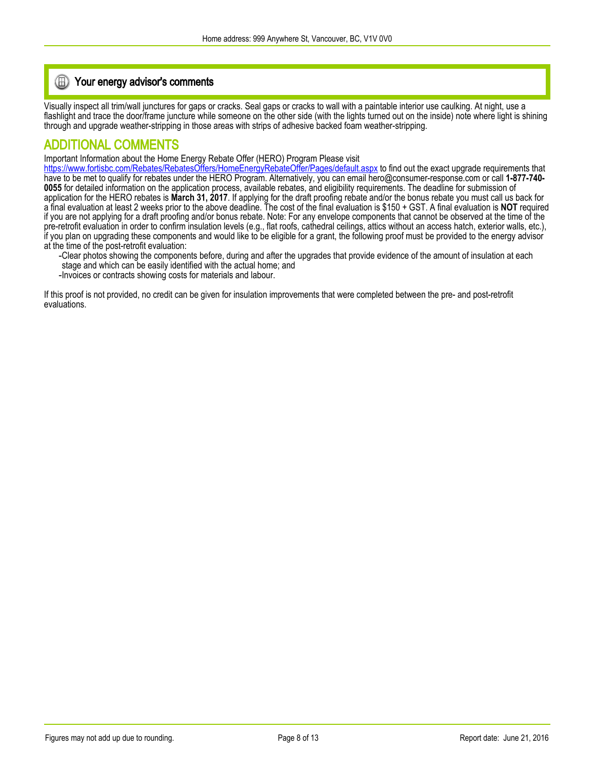## **E** Your energy advisor's comments

Visually inspect all trim/wall junctures for gaps or cracks. Seal gaps or cracks to wall with a paintable interior use caulking. At night, use a flashlight and trace the door/frame juncture while someone on the other side (with the lights turned out on the inside) note where light is shining through and upgrade weather-stripping in those areas with strips of adhesive backed foam weather-stripping.

## ADDITIONAL COMMENTS

Important Information about the Home Energy Rebate Offer (HERO) Program Please visit

https://www.fortisbc.com/Rebates/RebatesOffers/HomeEnergyRebateOffer/Pages/default.aspx to find out the exact upgrade requirements that have to be met to qualify for rebates under the HERO Program. Alternatively, you can email hero@consumer-response.com or call **1-877-740- 0055** for detailed information on the application process, available rebates, and eligibility requirements. The deadline for submission of application for the HERO rebates is **March 31, 2017**. If applying for the draft proofing rebate and/or the bonus rebate you must call us back for a final evaluation at least 2 weeks prior to the above deadline. The cost of the final evaluation is \$150 + GST. A final evaluation is **NOT** required if you are not applying for a draft proofing and/or bonus rebate. Note: For any envelope components that cannot be observed at the time of the pre-retrofit evaluation in order to confirm insulation levels (e.g., flat roofs, cathedral ceilings, attics without an access hatch, exterior walls, etc.), if you plan on upgrading these components and would like to be eligible for a grant, the following proof must be provided to the energy advisor at the time of the post-retrofit evaluation:

-Clear photos showing the components before, during and after the upgrades that provide evidence of the amount of insulation at each stage and which can be easily identified with the actual home; and

-Invoices or contracts showing costs for materials and labour.

If this proof is not provided, no credit can be given for insulation improvements that were completed between the pre- and post-retrofit evaluations.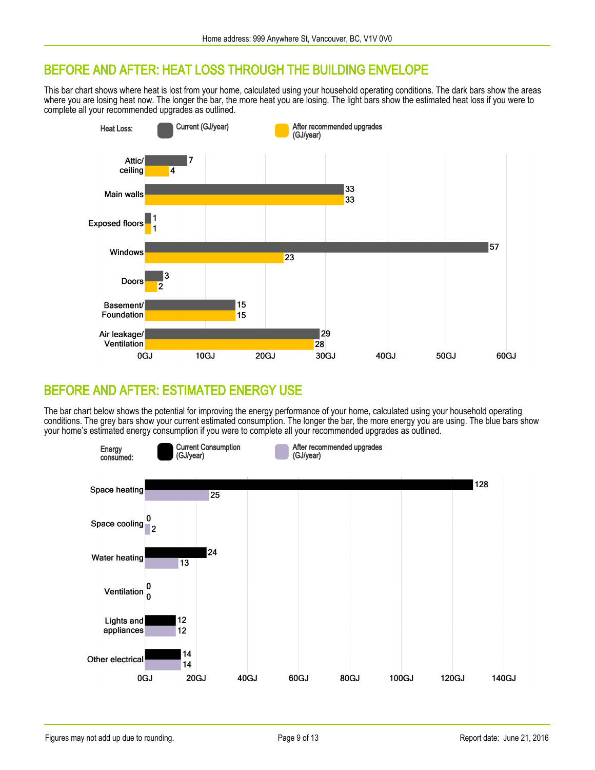## BEFORE AND AFTER: HEAT LOSS THROUGH THE BUILDING ENVELOPE

This bar chart shows where heat is lost from your home, calculated using your household operating conditions. The dark bars show the areas where you are losing heat now. The longer the bar, the more heat you are losing. The light bars show the estimated heat loss if you were to complete all your recommended upgrades as outlined.



## BEFORE AND AFTER: ESTIMATED ENERGY USE

The bar chart below shows the potential for improving the energy performance of your home, calculated using your household operating conditions. The grey bars show your current estimated consumption. The longer the bar, the more energy you are using. The blue bars show your home's estimated energy consumption if you were to complete all your recommended upgrades as outlined.

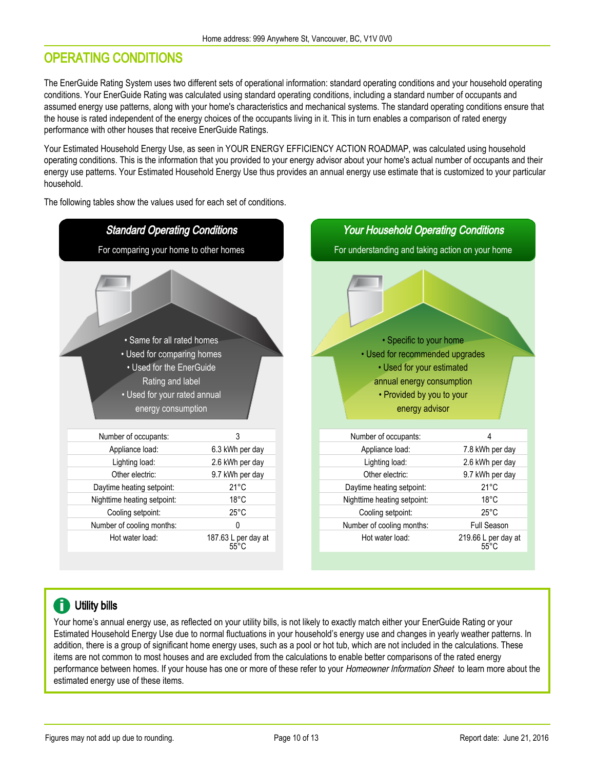## OPERATING CONDITIONS

The EnerGuide Rating System uses two different sets of operational information: standard operating conditions and your household operating conditions. Your EnerGuide Rating was calculated using standard operating conditions, including a standard number of occupants and assumed energy use patterns, along with your home's characteristics and mechanical systems. The standard operating conditions ensure that the house is rated independent of the energy choices of the occupants living in it. This in turn enables a comparison of rated energy performance with other houses that receive EnerGuide Ratings.

Your Estimated Household Energy Use, as seen in YOUR ENERGY EFFICIENCY ACTION ROADMAP, was calculated using household operating conditions. This is the information that you provided to your energy advisor about your home's actual number of occupants and their energy use patterns. Your Estimated Household Energy Use thus provides an annual energy use estimate that is customized to your particular household.

The following tables show the values used for each set of conditions.



#### h) Utility bills

Your home's annual energy use, as reflected on your utility bills, is not likely to exactly match either your EnerGuide Rating or your Estimated Household Energy Use due to normal fluctuations in your household's energy use and changes in yearly weather patterns. In addition, there is a group of significant home energy uses, such as a pool or hot tub, which are not included in the calculations. These items are not common to most houses and are excluded from the calculations to enable better comparisons of the rated energy performance between homes. If your house has one or more of these refer to your Homeowner Information Sheet to learn more about the estimated energy use of these items.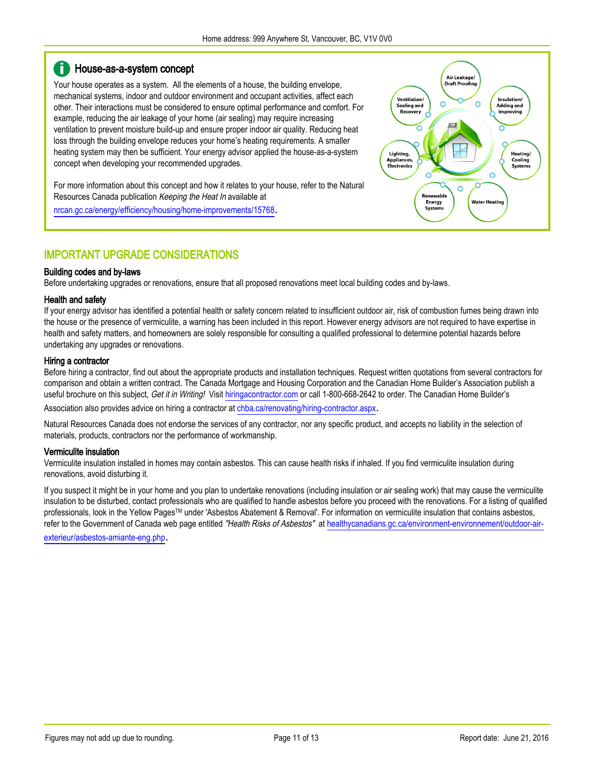#### Ĩ House-as-a-system concept

Your house operates as a system. All the elements of a house, the building envelope, mechanical systems, indoor and outdoor environment and occupant activities, affect each other. Their interactions must be considered to ensure optimal performance and comfort. For example, reducing the air leakage of your home (air sealing) may require increasing ventilation to prevent moisture build-up and ensure proper indoor air quality. Reducing heat loss through the building envelope reduces your home's heating requirements. A smaller heating system may then be sufficient. Your energy advisor applied the house-as-a-system concept when developing your recommended upgrades.

For more information about this concept and how it relates to your house, refer to the Natural Resources Canada publication Keeping the Heat In available at

[nrcan.gc.ca/energy/efficiency/housing/home-improvements/15768](http://nrcan.gc.ca/energy/efficiency/housing/home-improvements/15768).



#### IMPORTANT UPGRADE CONSIDERATIONS

#### Building codes and by-laws

Before undertaking upgrades or renovations, ensure that all proposed renovations meet local building codes and by-laws.

#### Health and safety

If your energy advisor has identified a potential health or safety concern related to insufficient outdoor air, risk of combustion fumes being drawn into the house or the presence of vermiculite, a warning has been included in this report. However energy advisors are not required to have expertise in health and safety matters, and homeowners are solely responsible for consulting a qualified professional to determine potential hazards before undertaking any upgrades or renovations.

#### Hiring a contractor

Before hiring a contractor, find out about the appropriate products and installation techniques. Request written quotations from several contractors for comparison and obtain a written contract. The Canada Mortgage and Housing Corporation and the Canadian Home Builder's Association publish a useful brochure on this subject, Get it in Writing! Visit [hiringacontractor.com](http://hiringacontractor.com) or call 1-800-668-2642 to order. The Canadian Home Builder's

Association also provides advice on hiring a contractor at [chba.ca/renovating/hiring-contractor.aspx](http://chba.ca/renovating/hiring-contractor.aspx).

Natural Resources Canada does not endorse the services of any contractor, nor any specific product, and accepts no liability in the selection of materials, products, contractors nor the performance of workmanship.

#### Vermiculite insulation

Vermiculite insulation installed in homes may contain asbestos. This can cause health risks if inhaled. If you find vermiculite insulation during renovations, avoid disturbing it.

If you suspect it might be in your home and you plan to undertake renovations (including insulation or air sealing work) that may cause the vermiculite insulation to be disturbed, contact professionals who are qualified to handle asbestos before you proceed with the renovations. For a listing of qualified professionals, look in the Yellow Pages™ under 'Asbestos Abatement & Removal'. For information on vermiculite insulation that contains asbestos, refer to the Government of Canada web page entitled "Health Risks of Asbestos" at [healthycanadians.gc.ca/environment-environnement/outdoor-air-](http://healthycanadians.gc.ca/environment-environnement/outdoor-air-exterieur/asbestos-amiante-eng.php)

[exterieur/asbestos-amiante-eng.php](http://healthycanadians.gc.ca/environment-environnement/outdoor-air-exterieur/asbestos-amiante-eng.php).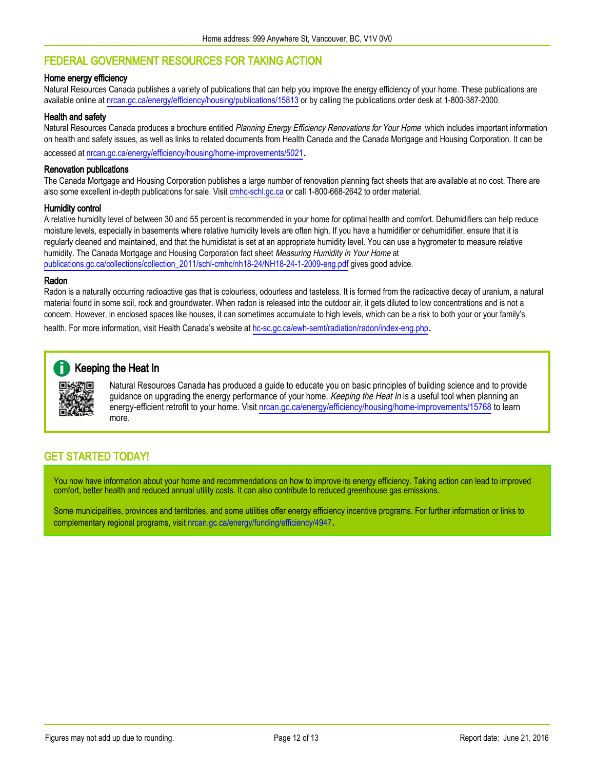### FEDERAL GOVERNMENT RESOURCES FOR TAKING ACTION

#### Home energy efficiency

Natural Resources Canada publishes a variety of publications that can help you improve the energy efficiency of your home. These publications are available online at [nrcan.gc.ca/energy/efficiency/housing/publications/15813](http://nrcan.gc.ca/energy/efficiency/housing/publications/15813) or by calling the publications order desk at 1-800-387-2000.

#### Health and safety

Natural Resources Canada produces a brochure entitled Planning Energy Efficiency Renovations for Your Home which includes important information on health and safety issues, as well as links to related documents from Health Canada and the Canada Mortgage and Housing Corporation. It can be accessed at [nrcan.gc.ca/energy/efficiency/housing/home-improvements/5021](http://nrcan.gc.ca/energy/efficiency/housing/home-improvements/5021).

#### Renovation publications

The Canada Mortgage and Housing Corporation publishes a large number of renovation planning fact sheets that are available at no cost. There are also some excellent in-depth publications for sale. Visit [cmhc-schl.gc.ca](http://cmhc-schl.gc.ca) or call 1-800-668-2642 to order material.

#### Humidity control

A relative humidity level of between 30 and 55 percent is recommended in your home for optimal health and comfort. Dehumidifiers can help reduce moisture levels, especially in basements where relative humidity levels are often high. If you have a humidifier or dehumidifier, ensure that it is regularly cleaned and maintained, and that the humidistat is set at an appropriate humidity level. You can use a hygrometer to measure relative humidity. The Canada Mortgage and Housing Corporation fact sheet Measuring Humidity in Your Home at [publications.gc.ca/collections/collection\\_2011/schl-cmhc/nh18-24/NH18-24-1-2009-eng.pdf](http://publications.gc.ca/collections/collection_2011/schl-cmhc/nh18-24/NH18-24-1-2009-eng.pdf) gives good advice.

#### Radon

Radon is a naturally occurring radioactive gas that is colourless, odourless and tasteless. It is formed from the radioactive decay of uranium, a natural material found in some soil, rock and groundwater. When radon is released into the outdoor air, it gets diluted to low concentrations and is not a concern. However, in enclosed spaces like houses, it can sometimes accumulate to high levels, which can be a risk to both your or your family's

health. For more information, visit Health Canada's website at [hc-sc.gc.ca/ewh-semt/radiation/radon/index-eng.php](http://hc-sc.gc.ca/ewh-semt/radiation/radon/index-eng.php).

## Keeping the Heat In



Natural Resources Canada has produced a guide to educate you on basic principles of building science and to provide guidance on upgrading the energy performance of your home. Keeping the Heat In is a useful tool when planning an energy-efficient retrofit to your home. Visit [nrcan.gc.ca/energy/efficiency/housing/home-improvements/15768](http://nrcan.gc.ca/energy/efficiency/housing/home-improvements/15768) to learn more.

## GET STARTED TODAY!

You now have information about your home and recommendations on how to improve its energy efficiency. Taking action can lead to improved comfort, better health and reduced annual utility costs. It can also contribute to reduced greenhouse gas emissions.

Some municipalities, provinces and territories, and some utilities offer energy efficiency incentive programs. For further information or links to complementary regional programs, visit [nrcan.gc.ca/energy/funding/efficiency/4947](http://nrcan.gc.ca/energy/funding/efficiency/4947).